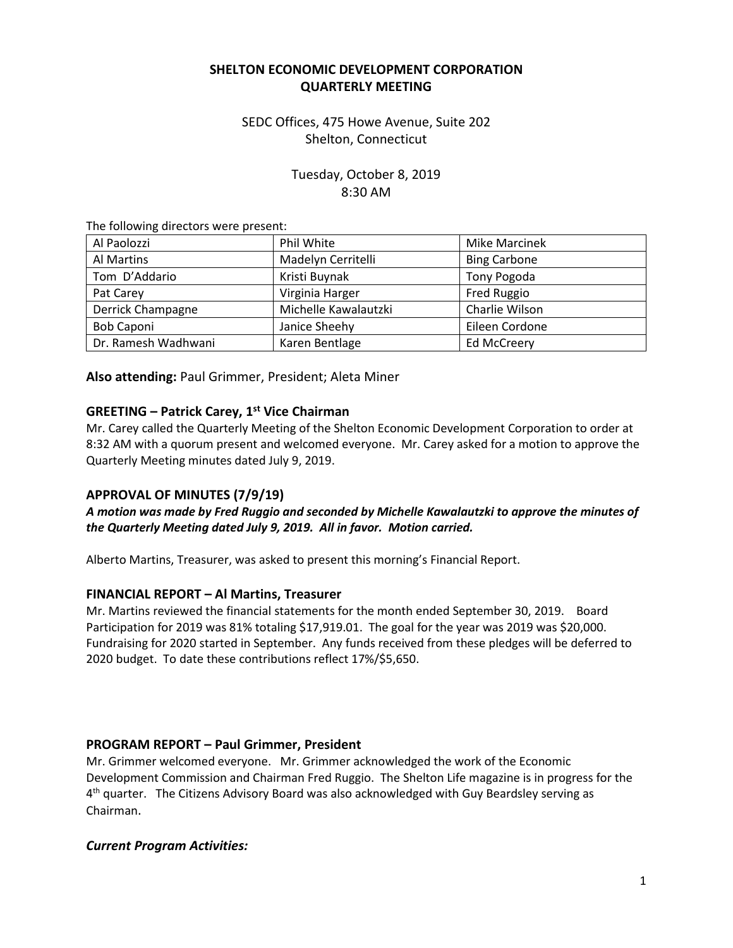# **SHELTON ECONOMIC DEVELOPMENT CORPORATION QUARTERLY MEETING**

# SEDC Offices, 475 Howe Avenue, Suite 202 Shelton, Connecticut

# Tuesday, October 8, 2019 8:30 AM

The following directors were present:

| Al Paolozzi         | Phil White           | <b>Mike Marcinek</b> |
|---------------------|----------------------|----------------------|
| Al Martins          | Madelyn Cerritelli   | <b>Bing Carbone</b>  |
| Tom D'Addario       | Kristi Buynak        | Tony Pogoda          |
| Pat Carey           | Virginia Harger      | Fred Ruggio          |
| Derrick Champagne   | Michelle Kawalautzki | Charlie Wilson       |
| <b>Bob Caponi</b>   | Janice Sheehy        | Eileen Cordone       |
| Dr. Ramesh Wadhwani | Karen Bentlage       | Ed McCreery          |
|                     |                      |                      |

**Also attending:** Paul Grimmer, President; Aleta Miner

## **GREETING – Patrick Carey, 1st Vice Chairman**

Mr. Carey called the Quarterly Meeting of the Shelton Economic Development Corporation to order at 8:32 AM with a quorum present and welcomed everyone. Mr. Carey asked for a motion to approve the Quarterly Meeting minutes dated July 9, 2019.

## **APPROVAL OF MINUTES (7/9/19)**

*A motion was made by Fred Ruggio and seconded by Michelle Kawalautzki to approve the minutes of the Quarterly Meeting dated July 9, 2019. All in favor. Motion carried.*

Alberto Martins, Treasurer, was asked to present this morning's Financial Report.

## **FINANCIAL REPORT – Al Martins, Treasurer**

Mr. Martins reviewed the financial statements for the month ended September 30, 2019. Board Participation for 2019 was 81% totaling \$17,919.01. The goal for the year was 2019 was \$20,000. Fundraising for 2020 started in September. Any funds received from these pledges will be deferred to 2020 budget. To date these contributions reflect 17%/\$5,650.

## **PROGRAM REPORT – Paul Grimmer, President**

Mr. Grimmer welcomed everyone. Mr. Grimmer acknowledged the work of the Economic Development Commission and Chairman Fred Ruggio. The Shelton Life magazine is in progress for the 4<sup>th</sup> quarter. The Citizens Advisory Board was also acknowledged with Guy Beardsley serving as Chairman.

## *Current Program Activities:*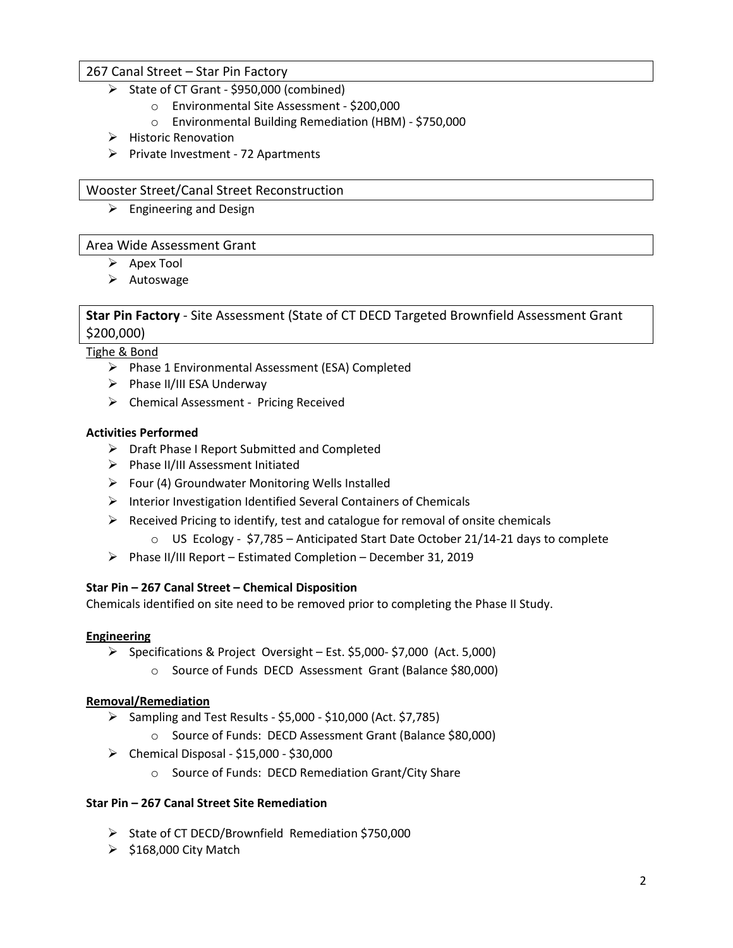### 267 Canal Street – Star Pin Factory

- $\triangleright$  State of CT Grant \$950,000 (combined)
	- o Environmental Site Assessment \$200,000
	- o Environmental Building Remediation (HBM) \$750,000
- $\triangleright$  Historic Renovation
- $\triangleright$  Private Investment 72 Apartments

### Wooster Street/Canal Street Reconstruction

 $\triangleright$  Engineering and Design

### Area Wide Assessment Grant

- $\triangleright$  Apex Tool
- $\triangleright$  Autoswage

# **Star Pin Factory** - Site Assessment (State of CT DECD Targeted Brownfield Assessment Grant \$200,000)

Tighe & Bond

- Phase 1 Environmental Assessment (ESA) Completed
- $\triangleright$  Phase II/III ESA Underway
- Chemical Assessment Pricing Received

### **Activities Performed**

- Draft Phase I Report Submitted and Completed
- $\triangleright$  Phase II/III Assessment Initiated
- $\triangleright$  Four (4) Groundwater Monitoring Wells Installed
- $\triangleright$  Interior Investigation Identified Several Containers of Chemicals
- $\triangleright$  Received Pricing to identify, test and catalogue for removal of onsite chemicals
	- $\circ$  US Ecology \$7,785 Anticipated Start Date October 21/14-21 days to complete
- Phase II/III Report Estimated Completion December 31, 2019

### **Star Pin – 267 Canal Street – Chemical Disposition**

Chemicals identified on site need to be removed prior to completing the Phase II Study.

### **Engineering**

- $\triangleright$  Specifications & Project Oversight Est. \$5,000- \$7,000 (Act. 5,000)
	- o Source of Funds DECD Assessment Grant (Balance \$80,000)

### **Removal/Remediation**

- $\triangleright$  Sampling and Test Results \$5,000 \$10,000 (Act. \$7,785)
	- o Source of Funds: DECD Assessment Grant (Balance \$80,000)
- $\triangleright$  Chemical Disposal \$15,000 \$30,000
	- o Source of Funds: DECD Remediation Grant/City Share

### **Star Pin – 267 Canal Street Site Remediation**

- $\triangleright$  State of CT DECD/Brownfield Remediation \$750,000
- $\geq$  \$168,000 City Match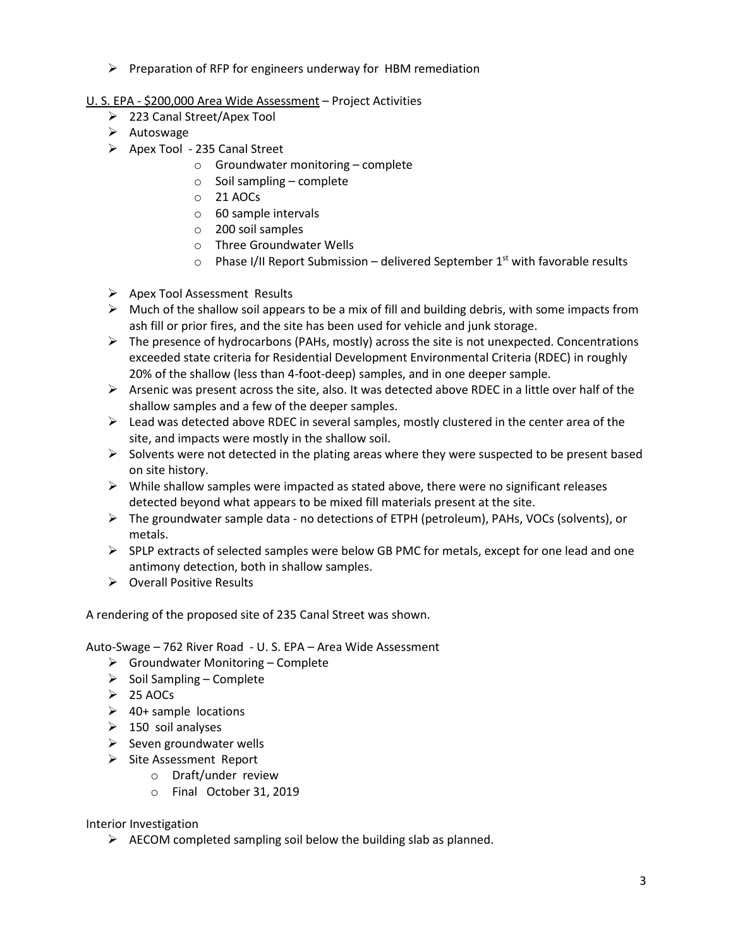- $\triangleright$  Preparation of RFP for engineers underway for HBM remediation
- U. S. EPA \$200,000 Area Wide Assessment Project Activities
	- 223 Canal Street/Apex Tool
	- $\triangleright$  Autoswage
	- $\triangleright$  Apex Tool 235 Canal Street
		- o Groundwater monitoring complete
		- o Soil sampling complete
		- o 21 AOCs
		- o 60 sample intervals
		- o 200 soil samples
		- o Three Groundwater Wells
		- $\circ$  Phase I/II Report Submission delivered September 1st with favorable results
	- $\triangleright$  Apex Tool Assessment Results
	- $\triangleright$  Much of the shallow soil appears to be a mix of fill and building debris, with some impacts from ash fill or prior fires, and the site has been used for vehicle and junk storage.
	- $\triangleright$  The presence of hydrocarbons (PAHs, mostly) across the site is not unexpected. Concentrations exceeded state criteria for Residential Development Environmental Criteria (RDEC) in roughly 20% of the shallow (less than 4-foot-deep) samples, and in one deeper sample.
	- $\triangleright$  Arsenic was present across the site, also. It was detected above RDEC in a little over half of the shallow samples and a few of the deeper samples.
	- $\triangleright$  Lead was detected above RDEC in several samples, mostly clustered in the center area of the site, and impacts were mostly in the shallow soil.
	- $\triangleright$  Solvents were not detected in the plating areas where they were suspected to be present based on site history.
	- $\triangleright$  While shallow samples were impacted as stated above, there were no significant releases detected beyond what appears to be mixed fill materials present at the site.
	- $\triangleright$  The groundwater sample data no detections of ETPH (petroleum), PAHs, VOCs (solvents), or metals.
	- $\triangleright$  SPLP extracts of selected samples were below GB PMC for metals, except for one lead and one antimony detection, both in shallow samples.
	- $\triangleright$  Overall Positive Results

A rendering of the proposed site of 235 Canal Street was shown.

Auto-Swage – 762 River Road - U. S. EPA – Area Wide Assessment

- $\triangleright$  Groundwater Monitoring Complete
- $\triangleright$  Soil Sampling Complete
- $\geq$  25 AOCs
- $\geq$  40+ sample locations
- $\geq 150$  soil analyses
- $\triangleright$  Seven groundwater wells
- $\triangleright$  Site Assessment Report
	- o Draft/under review
	- o Final October 31, 2019

Interior Investigation

 $\triangleright$  AECOM completed sampling soil below the building slab as planned.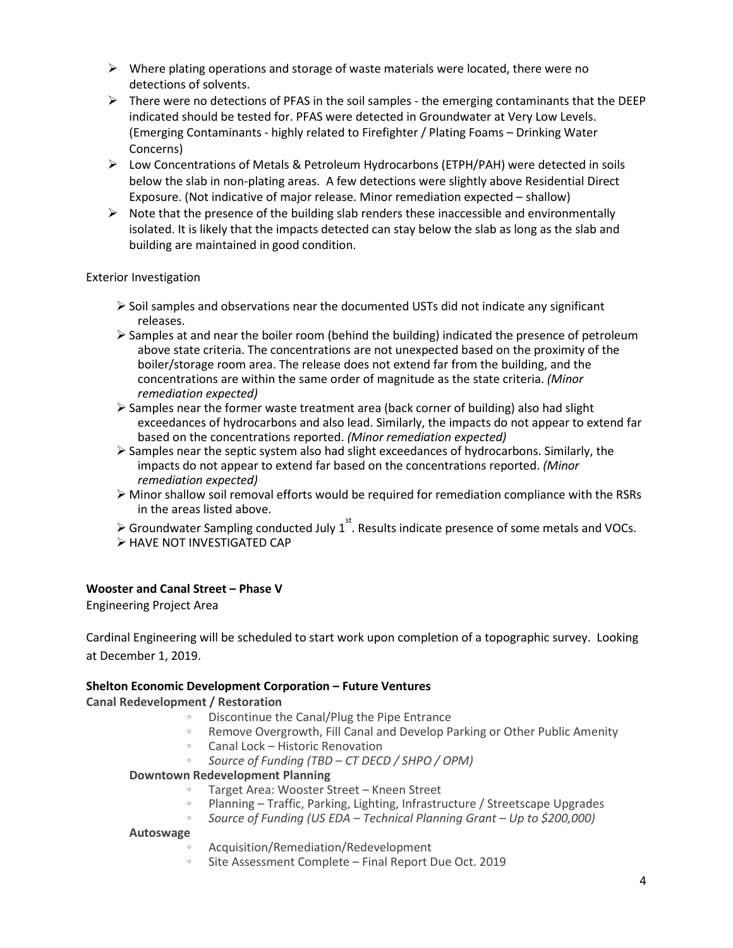- $\triangleright$  Where plating operations and storage of waste materials were located, there were no detections of solvents.
- $\triangleright$  There were no detections of PFAS in the soil samples the emerging contaminants that the DEEP indicated should be tested for. PFAS were detected in Groundwater at Very Low Levels. (Emerging Contaminants - highly related to Firefighter / Plating Foams – Drinking Water Concerns)
- Low Concentrations of Metals & Petroleum Hydrocarbons (ETPH/PAH) were detected in soils below the slab in non-plating areas. A few detections were slightly above Residential Direct Exposure. (Not indicative of major release. Minor remediation expected – shallow)
- $\triangleright$  Note that the presence of the building slab renders these inaccessible and environmentally isolated. It is likely that the impacts detected can stay below the slab as long as the slab and building are maintained in good condition.

### Exterior Investigation

- $\triangleright$  Soil samples and observations near the documented USTs did not indicate any significant releases.
- $\triangleright$  Samples at and near the boiler room (behind the building) indicated the presence of petroleum above state criteria. The concentrations are not unexpected based on the proximity of the boiler/storage room area. The release does not extend far from the building, and the concentrations are within the same order of magnitude as the state criteria. *(Minor remediation expected)*
- $\triangleright$  Samples near the former waste treatment area (back corner of building) also had slight exceedances of hydrocarbons and also lead. Similarly, the impacts do not appear to extend far based on the concentrations reported. *(Minor remediation expected)*
- $\triangleright$  Samples near the septic system also had slight exceedances of hydrocarbons. Similarly, the impacts do not appear to extend far based on the concentrations reported. *(Minor remediation expected)*
- $\triangleright$  Minor shallow soil removal efforts would be required for remediation compliance with the RSRs in the areas listed above.
- $\triangleright$  Groundwater Sampling conducted July 1<sup>st</sup>. Results indicate presence of some metals and VOCs.
- HAVE NOT INVESTIGATED CAP

## **Wooster and Canal Street – Phase V**

Engineering Project Area

Cardinal Engineering will be scheduled to start work upon completion of a topographic survey. Looking at December 1, 2019.

### **Shelton Economic Development Corporation – Future Ventures**

**Canal Redevelopment / Restoration**

- Discontinue the Canal/Plug the Pipe Entrance
- Remove Overgrowth, Fill Canal and Develop Parking or Other Public Amenity
- Canal Lock Historic Renovation
- *Source of Funding (TBD – CT DECD / SHPO / OPM)*

### **Downtown Redevelopment Planning**

- Target Area: Wooster Street Kneen Street
- Planning Traffic, Parking, Lighting, Infrastructure / Streetscape Upgrades
- *Source of Funding (US EDA – Technical Planning Grant – Up to \$200,000)*

**Autoswage** 

- Acquisition/Remediation/Redevelopment
- Site Assessment Complete Final Report Due Oct. 2019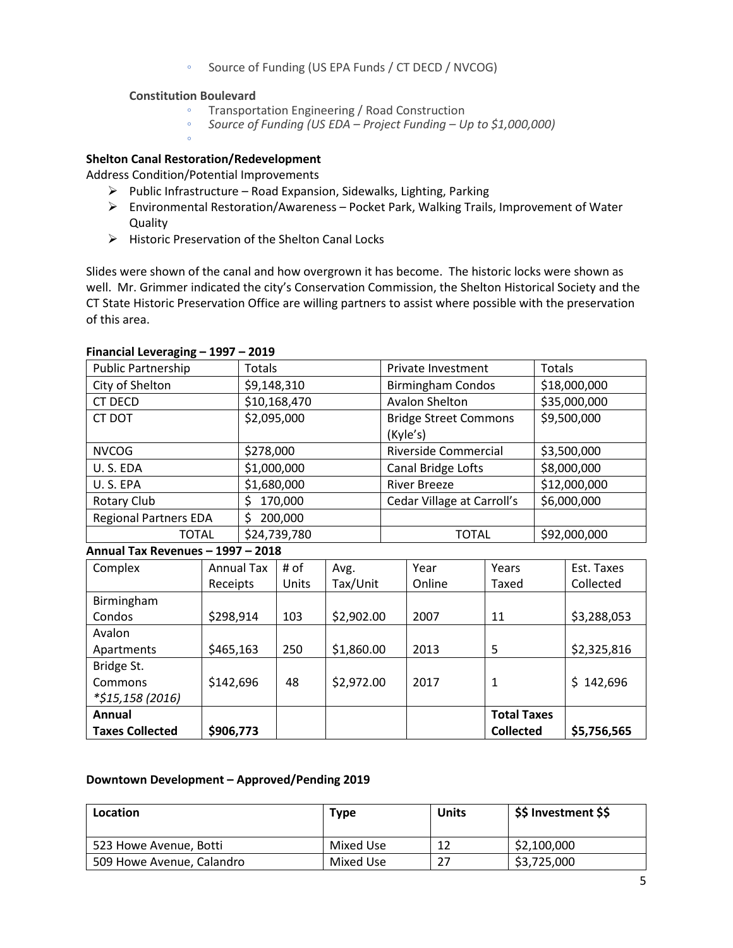◦ Source of Funding (US EPA Funds / CT DECD / NVCOG)

### **Constitution Boulevard**

◦

- Transportation Engineering / Road Construction
- *Source of Funding (US EDA – Project Funding – Up to \$1,000,000)*

### **Shelton Canal Restoration/Redevelopment**

Address Condition/Potential Improvements

- $\triangleright$  Public Infrastructure Road Expansion, Sidewalks, Lighting, Parking
- Environmental Restoration/Awareness Pocket Park, Walking Trails, Improvement of Water Quality
- $\triangleright$  Historic Preservation of the Shelton Canal Locks

Slides were shown of the canal and how overgrown it has become. The historic locks were shown as well. Mr. Grimmer indicated the city's Conservation Commission, the Shelton Historical Society and the CT State Historic Preservation Office are willing partners to assist where possible with the preservation of this area.

| <b>Public Partnership</b>    | Totals       | Private Investment                       | Totals       |
|------------------------------|--------------|------------------------------------------|--------------|
| City of Shelton              | \$9,148,310  | <b>Birmingham Condos</b>                 | \$18,000,000 |
| <b>CT DECD</b>               | \$10,168,470 | <b>Avalon Shelton</b>                    | \$35,000,000 |
| <b>CT DOT</b>                | \$2,095,000  | <b>Bridge Street Commons</b><br>(Kyle's) | \$9,500,000  |
| <b>NVCOG</b>                 | \$278,000    | Riverside Commercial                     | \$3,500,000  |
| U.S.EDA                      | \$1,000,000  | Canal Bridge Lofts                       | \$8,000,000  |
| U.S. EPA                     | \$1,680,000  | <b>River Breeze</b>                      | \$12,000,000 |
| Rotary Club                  | 170,000      | Cedar Village at Carroll's               | \$6,000,000  |
| <b>Regional Partners EDA</b> | 200,000      |                                          |              |
| <b>TOTAL</b>                 | \$24,739,780 | <b>TOTAL</b>                             | \$92,000,000 |

#### **Financial Leveraging – 1997 – 2019**

#### **Annual Tax Revenues – 1997 – 2018**

| Complex                | <b>Annual Tax</b> | # of         | Avg.       | Year   | Years              | Est. Taxes  |
|------------------------|-------------------|--------------|------------|--------|--------------------|-------------|
|                        | Receipts          | <b>Units</b> | Tax/Unit   | Online | Taxed              | Collected   |
| Birmingham             |                   |              |            |        |                    |             |
| Condos                 | \$298,914         | 103          | \$2,902.00 | 2007   | 11                 | \$3,288,053 |
| Avalon                 |                   |              |            |        |                    |             |
| Apartments             | \$465,163         | 250          | \$1,860.00 | 2013   | 5                  | \$2,325,816 |
| Bridge St.             |                   |              |            |        |                    |             |
| Commons                | \$142,696         | 48           | \$2,972.00 | 2017   | 1                  | \$142,696   |
| *\$15,158 (2016)       |                   |              |            |        |                    |             |
| Annual                 |                   |              |            |        | <b>Total Taxes</b> |             |
| <b>Taxes Collected</b> | \$906,773         |              |            |        | <b>Collected</b>   | \$5,756,565 |

#### **Downtown Development – Approved/Pending 2019**

| Location                  | Type      | <b>Units</b> | \$\$ Investment \$\$ |
|---------------------------|-----------|--------------|----------------------|
| 523 Howe Avenue, Botti    | Mixed Use |              | \$2,100,000          |
| 509 Howe Avenue, Calandro | Mixed Use |              | \$3,725,000          |